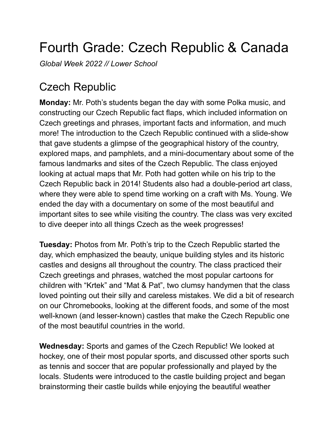## Fourth Grade: Czech Republic & Canada

*Global Week 2022 // Lower School*

## Czech Republic

**Monday:** Mr. Poth's students began the day with some Polka music, and constructing our Czech Republic fact flaps, which included information on Czech greetings and phrases, important facts and information, and much more! The introduction to the Czech Republic continued with a slide-show that gave students a glimpse of the geographical history of the country, explored maps, and pamphlets, and a mini-documentary about some of the famous landmarks and sites of the Czech Republic. The class enjoyed looking at actual maps that Mr. Poth had gotten while on his trip to the Czech Republic back in 2014! Students also had a double-period art class, where they were able to spend time working on a craft with Ms. Young. We ended the day with a documentary on some of the most beautiful and important sites to see while visiting the country. The class was very excited to dive deeper into all things Czech as the week progresses!

**Tuesday:** Photos from Mr. Poth's trip to the Czech Republic started the day, which emphasized the beauty, unique building styles and its historic castles and designs all throughout the country. The class practiced their Czech greetings and phrases, watched the most popular cartoons for children with "Krtek" and "Mat & Pat", two clumsy handymen that the class loved pointing out their silly and careless mistakes. We did a bit of research on our Chromebooks, looking at the different foods, and some of the most well-known (and lesser-known) castles that make the Czech Republic one of the most beautiful countries in the world.

**Wednesday:** Sports and games of the Czech Republic! We looked at hockey, one of their most popular sports, and discussed other sports such as tennis and soccer that are popular professionally and played by the locals. Students were introduced to the castle building project and began brainstorming their castle builds while enjoying the beautiful weather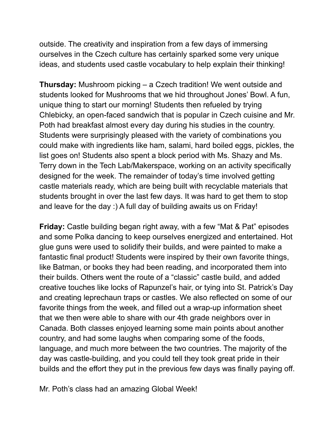outside. The creativity and inspiration from a few days of immersing ourselves in the Czech culture has certainly sparked some very unique ideas, and students used castle vocabulary to help explain their thinking!

**Thursday:** Mushroom picking – a Czech tradition! We went outside and students looked for Mushrooms that we hid throughout Jones' Bowl. A fun, unique thing to start our morning! Students then refueled by trying Chlebicky, an open-faced sandwich that is popular in Czech cuisine and Mr. Poth had breakfast almost every day during his studies in the country. Students were surprisingly pleased with the variety of combinations you could make with ingredients like ham, salami, hard boiled eggs, pickles, the list goes on! Students also spent a block period with Ms. Shazy and Ms. Terry down in the Tech Lab/Makerspace, working on an activity specifically designed for the week. The remainder of today's time involved getting castle materials ready, which are being built with recyclable materials that students brought in over the last few days. It was hard to get them to stop and leave for the day :) A full day of building awaits us on Friday!

**Friday:** Castle building began right away, with a few "Mat & Pat" episodes and some Polka dancing to keep ourselves energized and entertained. Hot glue guns were used to solidify their builds, and were painted to make a fantastic final product! Students were inspired by their own favorite things, like Batman, or books they had been reading, and incorporated them into their builds. Others went the route of a "classic" castle build, and added creative touches like locks of Rapunzel's hair, or tying into St. Patrick's Day and creating leprechaun traps or castles. We also reflected on some of our favorite things from the week, and filled out a wrap-up information sheet that we then were able to share with our 4th grade neighbors over in Canada. Both classes enjoyed learning some main points about another country, and had some laughs when comparing some of the foods, language, and much more between the two countries. The majority of the day was castle-building, and you could tell they took great pride in their builds and the effort they put in the previous few days was finally paying off.

Mr. Poth's class had an amazing Global Week!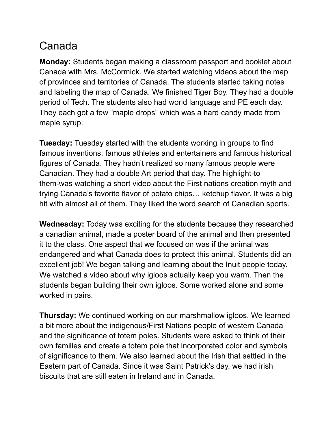## Canada

**Monday:** Students began making a classroom passport and booklet about Canada with Mrs. McCormick. We started watching videos about the map of provinces and territories of Canada. The students started taking notes and labeling the map of Canada. We finished Tiger Boy. They had a double period of Tech. The students also had world language and PE each day. They each got a few "maple drops" which was a hard candy made from maple syrup.

**Tuesday:** Tuesday started with the students working in groups to find famous inventions, famous athletes and entertainers and famous historical figures of Canada. They hadn't realized so many famous people were Canadian. They had a double Art period that day. The highlight-to them-was watching a short video about the First nations creation myth and trying Canada's favorite flavor of potato chips… ketchup flavor. It was a big hit with almost all of them. They liked the word search of Canadian sports.

**Wednesday:** Today was exciting for the students because they researched a canadian animal, made a poster board of the animal and then presented it to the class. One aspect that we focused on was if the animal was endangered and what Canada does to protect this animal. Students did an excellent job! We began talking and learning about the Inuit people today. We watched a video about why igloos actually keep you warm. Then the students began building their own igloos. Some worked alone and some worked in pairs.

**Thursday:** We continued working on our marshmallow igloos. We learned a bit more about the indigenous/First Nations people of western Canada and the significance of totem poles. Students were asked to think of their own families and create a totem pole that incorporated color and symbols of significance to them. We also learned about the Irish that settled in the Eastern part of Canada. Since it was Saint Patrick's day, we had irish biscuits that are still eaten in Ireland and in Canada.